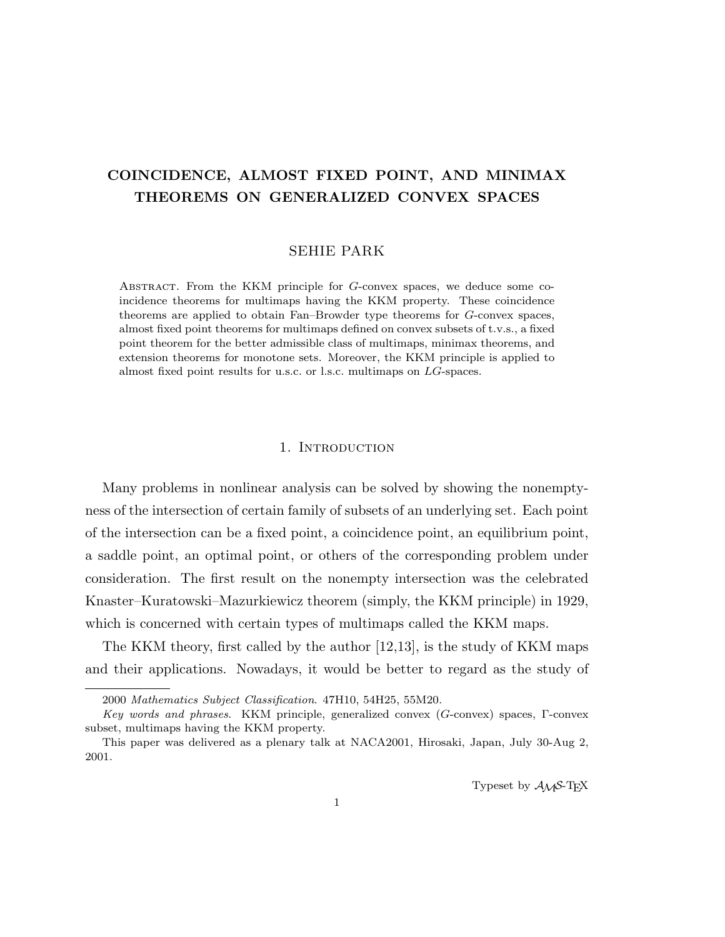# COINCIDENCE, ALMOST FIXED POINT, AND MINIMAX THEOREMS ON GENERALIZED CONVEX SPACES

## SEHIE PARK

Abstract. From the KKM principle for G-convex spaces, we deduce some coincidence theorems for multimaps having the KKM property. These coincidence theorems are applied to obtain Fan–Browder type theorems for G-convex spaces, almost fixed point theorems for multimaps defined on convex subsets of t.v.s., a fixed point theorem for the better admissible class of multimaps, minimax theorems, and extension theorems for monotone sets. Moreover, the KKM principle is applied to almost fixed point results for u.s.c. or l.s.c. multimaps on LG-spaces.

# 1. INTRODUCTION

Many problems in nonlinear analysis can be solved by showing the nonemptyness of the intersection of certain family of subsets of an underlying set. Each point of the intersection can be a fixed point, a coincidence point, an equilibrium point, a saddle point, an optimal point, or others of the corresponding problem under consideration. The first result on the nonempty intersection was the celebrated Knaster–Kuratowski–Mazurkiewicz theorem (simply, the KKM principle) in 1929, which is concerned with certain types of multimaps called the KKM maps.

The KKM theory, first called by the author [12,13], is the study of KKM maps and their applications. Nowadays, it would be better to regard as the study of

<sup>2000</sup> Mathematics Subject Classification. 47H10, 54H25, 55M20.

Key words and phrases. KKM principle, generalized convex (G-convex) spaces, Γ-convex subset, multimaps having the KKM property.

This paper was delivered as a plenary talk at NACA2001, Hirosaki, Japan, July 30-Aug 2, 2001.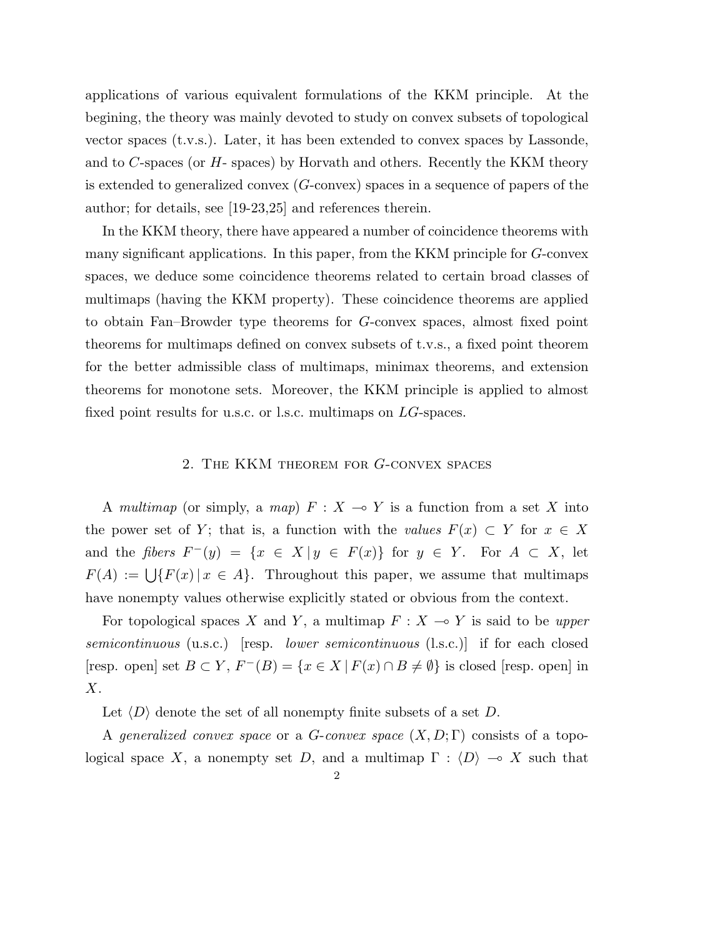applications of various equivalent formulations of the KKM principle. At the begining, the theory was mainly devoted to study on convex subsets of topological vector spaces (t.v.s.). Later, it has been extended to convex spaces by Lassonde, and to  $C$ -spaces (or  $H$ -spaces) by Horvath and others. Recently the KKM theory is extended to generalized convex (G-convex) spaces in a sequence of papers of the author; for details, see [19-23,25] and references therein.

In the KKM theory, there have appeared a number of coincidence theorems with many significant applications. In this paper, from the KKM principle for G-convex spaces, we deduce some coincidence theorems related to certain broad classes of multimaps (having the KKM property). These coincidence theorems are applied to obtain Fan–Browder type theorems for G-convex spaces, almost fixed point theorems for multimaps defined on convex subsets of t.v.s., a fixed point theorem for the better admissible class of multimaps, minimax theorems, and extension theorems for monotone sets. Moreover, the KKM principle is applied to almost fixed point results for u.s.c. or l.s.c. multimaps on LG-spaces.

## 2. The KKM theorem for G-convex spaces

A multimap (or simply, a map)  $F : X \to Y$  is a function from a set X into the power set of Y; that is, a function with the values  $F(x) \subset Y$  for  $x \in X$ and the fibers  $F^-(y) = \{x \in X | y \in F(x)\}\$ for  $y \in Y$ . For  $A \subset X$ , let  $F(A) := \bigcup \{F(x) \mid x \in A\}.$  Throughout this paper, we assume that multimaps have nonempty values otherwise explicitly stated or obvious from the context.

For topological spaces X and Y, a multimap  $F : X \to Y$  is said to be upper semicontinuous (u.s.c.) [resp. lower semicontinuous (l.s.c.)] if for each closed [resp. open] set  $B \subset Y$ ,  $F^{-}(B) = \{x \in X \mid F(x) \cap B \neq \emptyset\}$  is closed [resp. open] in  $X$ .

Let  $\langle D \rangle$  denote the set of all nonempty finite subsets of a set D.

A generalized convex space or a G-convex space  $(X, D; \Gamma)$  consists of a topological space X, a nonempty set D, and a multimap  $\Gamma : \langle D \rangle \to X$  such that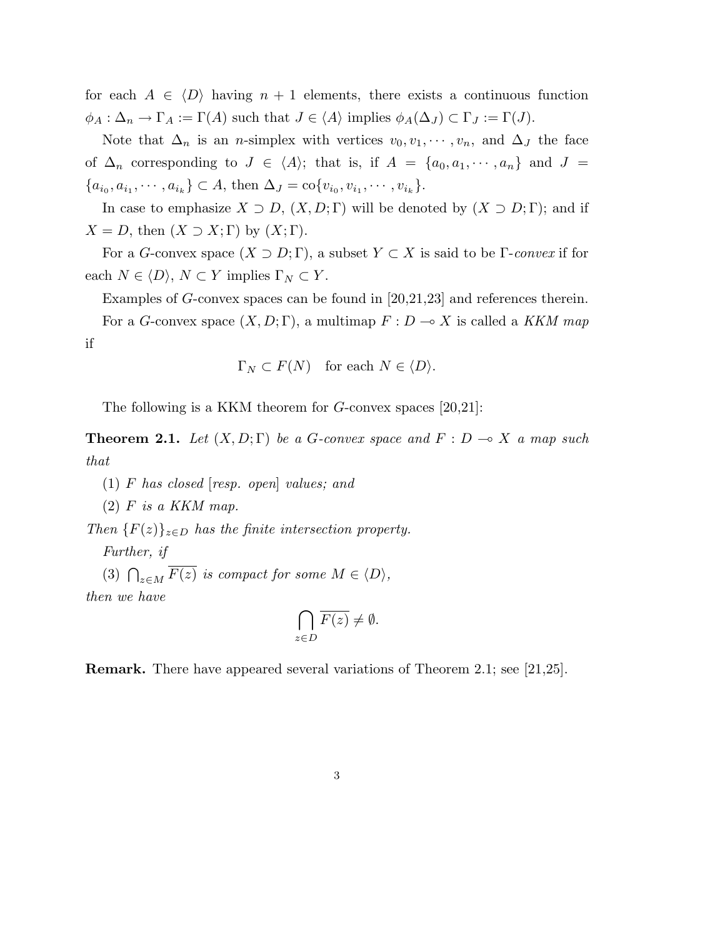for each  $A \in \langle D \rangle$  having  $n + 1$  elements, there exists a continuous function  $\phi_A : \Delta_n \to \Gamma_A := \Gamma(A)$  such that  $J \in \langle A \rangle$  implies  $\phi_A(\Delta_J) \subset \Gamma_J := \Gamma(J)$ .

Note that  $\Delta_n$  is an *n*-simplex with vertices  $v_0, v_1, \dots, v_n$ , and  $\Delta_j$  the face of  $\Delta_n$  corresponding to  $J \in \langle A \rangle$ ; that is, if  $A = \{a_0, a_1, \dots, a_n\}$  and  $J =$  ${a_{i_0}, a_{i_1}, \cdots, a_{i_k}} \subset A$ , then  $\Delta_J = \text{co}\{v_{i_0}, v_{i_1}, \cdots, v_{i_k}\}.$ 

In case to emphasize  $X \supset D$ ,  $(X, D; \Gamma)$  will be denoted by  $(X \supset D; \Gamma)$ ; and if  $X = D$ , then  $(X \supset X; \Gamma)$  by  $(X; \Gamma)$ .

For a G-convex space  $(X \supset D; \Gamma)$ , a subset  $Y \subset X$  is said to be  $\Gamma$ -convex if for each  $N \in \langle D \rangle$ ,  $N \subset Y$  implies  $\Gamma_N \subset Y$ .

Examples of G-convex spaces can be found in [20,21,23] and references therein. For a G-convex space  $(X, D; \Gamma)$ , a multimap  $F: D \to X$  is called a KKM map if

$$
\Gamma_N \subset F(N) \quad \text{for each } N \in \langle D \rangle.
$$

The following is a KKM theorem for G-convex spaces [20,21]:

**Theorem 2.1.** Let  $(X, D; \Gamma)$  be a G-convex space and  $F : D \to X$  a map such that

(1) F has closed [resp. open] values; and

 $(2)$  F is a KKM map.

Then  ${F(z)}_{z\in D}$  has the finite intersection property.

Further, if

(3)  $\bigcap_{z \in M} \overline{F(z)}$  is compact for some  $M \in \langle D \rangle$ , then we have

$$
\bigcap_{z \in D} \overline{F(z)} \neq \emptyset.
$$

Remark. There have appeared several variations of Theorem 2.1; see [21,25].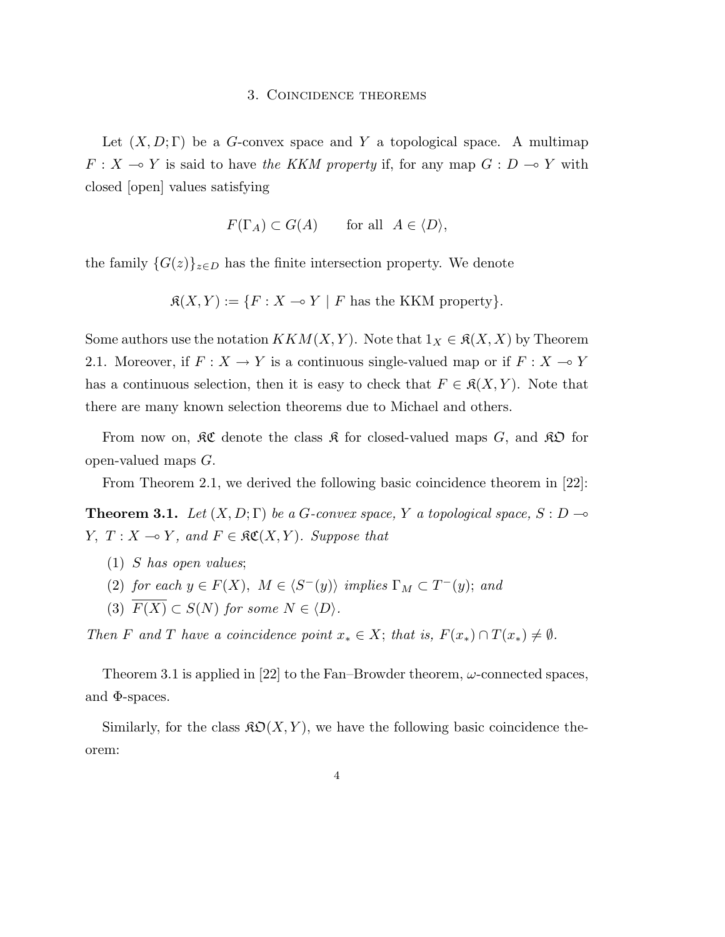#### 3. Coincidence theorems

Let  $(X, D; \Gamma)$  be a G-convex space and Y a topological space. A multimap  $F: X \to Y$  is said to have the KKM property if, for any map  $G: D \to Y$  with closed [open] values satisfying

$$
F(\Gamma_A) \subset G(A) \qquad \text{for all} \ \ A \in \langle D \rangle,
$$

the family  $\{G(z)\}_{z\in D}$  has the finite intersection property. We denote

 $\mathfrak{K}(X, Y) := \{F : X \multimap Y \mid F \text{ has the KKM property}\}.$ 

Some authors use the notation  $KKM(X, Y)$ . Note that  $1_X \in \mathfrak{K}(X, X)$  by Theorem 2.1. Moreover, if  $F: X \to Y$  is a continuous single-valued map or if  $F: X \to Y$ has a continuous selection, then it is easy to check that  $F \in \mathfrak{K}(X, Y)$ . Note that there are many known selection theorems due to Michael and others.

From now on,  $\mathfrak{K}\mathfrak{C}$  denote the class  $\mathfrak{K}$  for closed-valued maps  $G$ , and  $\mathfrak{K}\mathfrak{D}$  for open-valued maps G.

From Theorem 2.1, we derived the following basic coincidence theorem in [22]:

**Theorem 3.1.** Let  $(X, D; \Gamma)$  be a G-convex space, Y a topological space,  $S: D \rightarrow$  $Y, T : X \longrightarrow Y$ , and  $F \in \mathfrak{RC}(X, Y)$ . Suppose that

- (1) S has open values;
- (2) for each  $y \in F(X)$ ,  $M \in \langle S^-(y) \rangle$  implies  $\Gamma_M \subset T^-(y)$ ; and
- (3)  $\overline{F(X)} \subset S(N)$  for some  $N \in \langle D \rangle$ .

Then F and T have a coincidence point  $x_* \in X$ ; that is,  $F(x_*) \cap T(x_*) \neq \emptyset$ .

Theorem 3.1 is applied in [22] to the Fan–Browder theorem,  $\omega$ -connected spaces, and  $\Phi$ -spaces.

Similarly, for the class  $\mathfrak{SO}(X, Y)$ , we have the following basic coincidence theorem: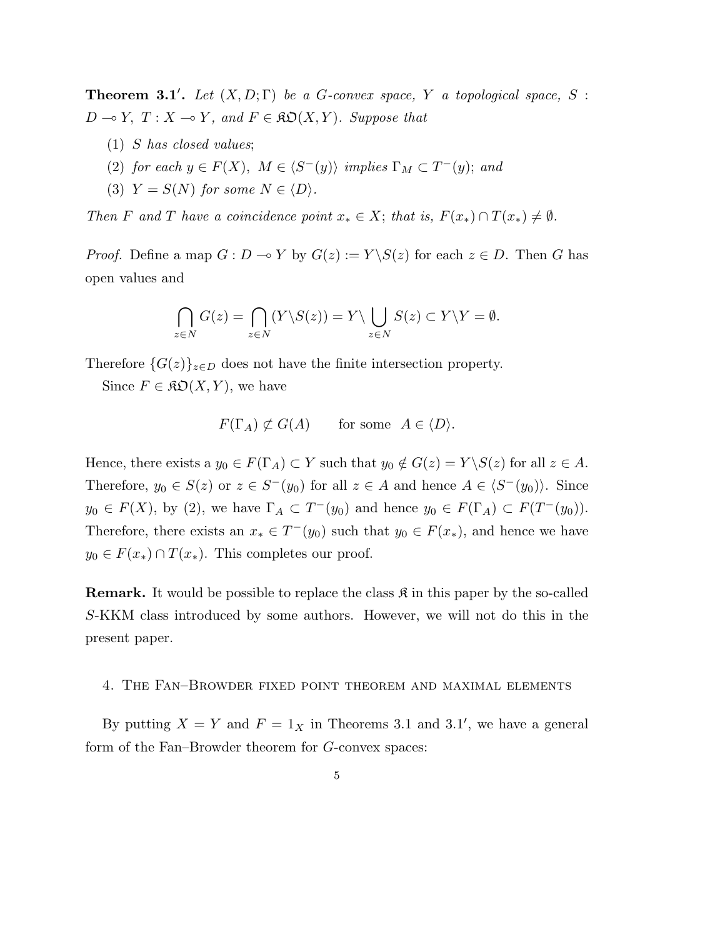**Theorem 3.1'.** Let  $(X, D; \Gamma)$  be a G-convex space, Y a topological space, S :  $D \multimap Y, T : X \multimap Y, and F \in \mathfrak{KO}(X, Y)$ . Suppose that

- (1) S has closed values;
- (2) for each  $y \in F(X)$ ,  $M \in \langle S^-(y) \rangle$  implies  $\Gamma_M \subset T^-(y)$ ; and
- (3)  $Y = S(N)$  for some  $N \in \langle D \rangle$ .

Then F and T have a coincidence point  $x_* \in X$ ; that is,  $F(x_*) \cap T(x_*) \neq \emptyset$ .

*Proof.* Define a map  $G: D \to Y$  by  $G(z) := Y \setminus S(z)$  for each  $z \in D$ . Then G has open values and

$$
\bigcap_{z \in N} G(z) = \bigcap_{z \in N} (Y \backslash S(z)) = Y \backslash \bigcup_{z \in N} S(z) \subset Y \backslash Y = \emptyset.
$$

Therefore  $\{G(z)\}_{z\in D}$  does not have the finite intersection property.

Since  $F \in \mathfrak{RO}(X, Y)$ , we have

$$
F(\Gamma_A) \not\subset G(A) \qquad \text{for some } A \in \langle D \rangle.
$$

Hence, there exists a  $y_0 \in F(\Gamma_A) \subset Y$  such that  $y_0 \notin G(z) = Y \setminus S(z)$  for all  $z \in A$ . Therefore,  $y_0 \in S(z)$  or  $z \in S^{-}(y_0)$  for all  $z \in A$  and hence  $A \in \langle S^{-}(y_0) \rangle$ . Since  $y_0 \in F(X)$ , by (2), we have  $\Gamma_A \subset T^{-}(y_0)$  and hence  $y_0 \in F(\Gamma_A) \subset F(T^{-}(y_0))$ . Therefore, there exists an  $x_* \in T^{-}(y_0)$  such that  $y_0 \in F(x_*)$ , and hence we have  $y_0 \in F(x_*) \cap T(x_*)$ . This completes our proof.

**Remark.** It would be possible to replace the class  $\mathcal{R}$  in this paper by the so-called S-KKM class introduced by some authors. However, we will not do this in the present paper.

## 4. The Fan–Browder fixed point theorem and maximal elements

By putting  $X = Y$  and  $F = 1_X$  in Theorems 3.1 and 3.1', we have a general form of the Fan–Browder theorem for G-convex spaces: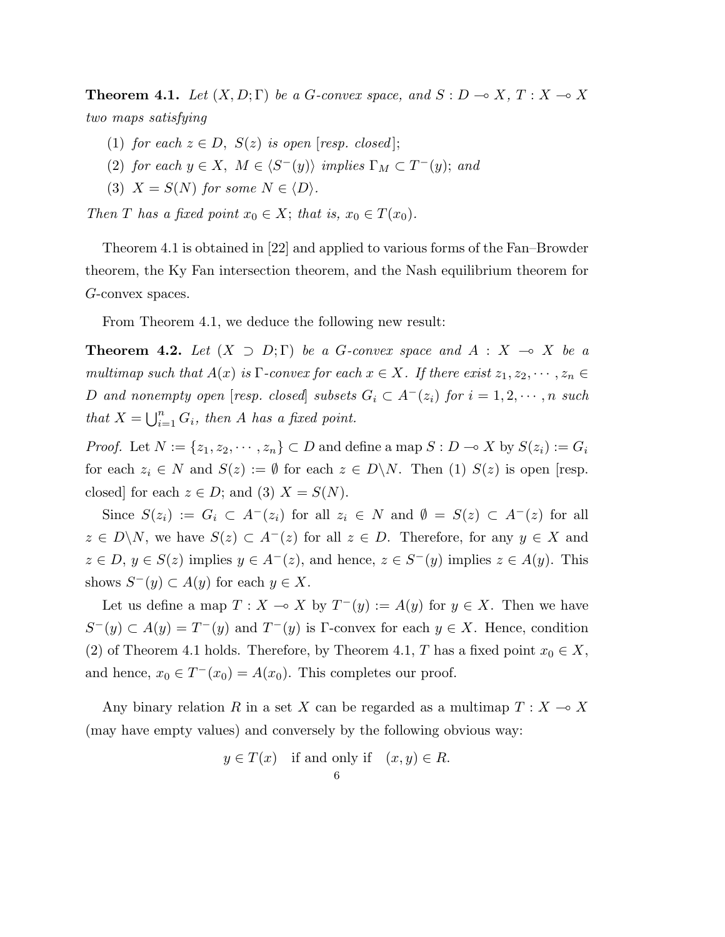**Theorem 4.1.** Let  $(X, D; \Gamma)$  be a G-convex space, and  $S : D \to X, T : X \to X$ two maps satisfying

- (1) for each  $z \in D$ ,  $S(z)$  is open [resp. closed];
- (2) for each  $y \in X$ ,  $M \in \langle S^-(y) \rangle$  implies  $\Gamma_M \subset T^-(y)$ ; and
- (3)  $X = S(N)$  for some  $N \in \langle D \rangle$ .

Then T has a fixed point  $x_0 \in X$ ; that is,  $x_0 \in T(x_0)$ .

Theorem 4.1 is obtained in [22] and applied to various forms of the Fan–Browder theorem, the Ky Fan intersection theorem, and the Nash equilibrium theorem for G-convex spaces.

From Theorem 4.1, we deduce the following new result:

**Theorem 4.2.** Let  $(X \supset D; \Gamma)$  be a G-convex space and  $A : X \multimap X$  be a multimap such that  $A(x)$  is  $\Gamma$ -convex for each  $x \in X$ . If there exist  $z_1, z_2, \dots, z_n \in$ D and nonempty open [resp. closed] subsets  $G_i \subset A^-(z_i)$  for  $i=1,2,\cdots,n$  such that  $X = \bigcup_{i=1}^n$  $\sum_{i=1}^n G_i$ , then A has a fixed point.

*Proof.* Let  $N := \{z_1, z_2, \dots, z_n\} \subset D$  and define a map  $S : D \to X$  by  $S(z_i) := G_i$ for each  $z_i \in N$  and  $S(z) := \emptyset$  for each  $z \in D\backslash N$ . Then (1)  $S(z)$  is open [resp. closed] for each  $z \in D$ ; and (3)  $X = S(N)$ .

Since  $S(z_i) := G_i \subset A^-(z_i)$  for all  $z_i \in N$  and  $\emptyset = S(z) \subset A^-(z)$  for all  $z \in D\backslash N$ , we have  $S(z) \subset A^{-}(z)$  for all  $z \in D$ . Therefore, for any  $y \in X$  and  $z \in D, y \in S(z)$  implies  $y \in A^{-}(z)$ , and hence,  $z \in S^{-}(y)$  implies  $z \in A(y)$ . This shows  $S^-(y) \subset A(y)$  for each  $y \in X$ .

Let us define a map  $T : X \to X$  by  $T^-(y) := A(y)$  for  $y \in X$ . Then we have  $S^-(y) \subset A(y) = T^-(y)$  and  $T^-(y)$  is Γ-convex for each  $y \in X$ . Hence, condition (2) of Theorem 4.1 holds. Therefore, by Theorem 4.1, T has a fixed point  $x_0 \in X$ , and hence,  $x_0 \in T^-(x_0) = A(x_0)$ . This completes our proof.

Any binary relation R in a set X can be regarded as a multimap  $T : X \longrightarrow X$ (may have empty values) and conversely by the following obvious way:

$$
y \in T(x)
$$
 if and only if  $(x, y) \in R$ .  
6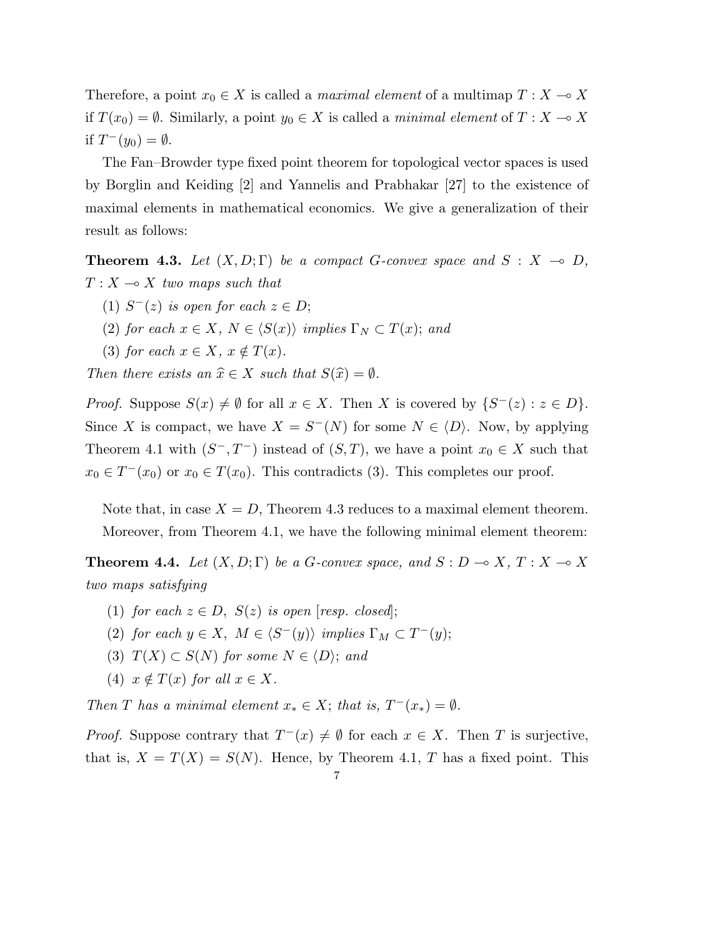Therefore, a point  $x_0 \in X$  is called a *maximal element* of a multimap  $T : X \longrightarrow X$ if  $T(x_0) = \emptyset$ . Similarly, a point  $y_0 \in X$  is called a minimal element of  $T : X \to X$ if  $T^-(y_0) = \emptyset$ .

The Fan–Browder type fixed point theorem for topological vector spaces is used by Borglin and Keiding [2] and Yannelis and Prabhakar [27] to the existence of maximal elements in mathematical economics. We give a generalization of their result as follows:

**Theorem 4.3.** Let  $(X, D; \Gamma)$  be a compact G-convex space and  $S: X \rightarrow D$ ,  $T : X \longrightarrow X$  two maps such that

- (1)  $S^{-}(z)$  is open for each  $z \in D$ ;
- (2) for each  $x \in X$ ,  $N \in \langle S(x) \rangle$  implies  $\Gamma_N \subset T(x)$ ; and
- (3) for each  $x \in X$ ,  $x \notin T(x)$ .

Then there exists an  $\hat{x} \in X$  such that  $S(\hat{x}) = \emptyset$ .

*Proof.* Suppose  $S(x) \neq \emptyset$  for all  $x \in X$ . Then X is covered by  $\{S^-(z) : z \in D\}$ . Since X is compact, we have  $X = S^{-1}(N)$  for some  $N \in \langle D \rangle$ . Now, by applying Theorem 4.1 with  $(S^-, T^-)$  instead of  $(S, T)$ , we have a point  $x_0 \in X$  such that  $x_0 \in T^-(x_0)$  or  $x_0 \in T(x_0)$ . This contradicts (3). This completes our proof.

Note that, in case  $X = D$ , Theorem 4.3 reduces to a maximal element theorem. Moreover, from Theorem 4.1, we have the following minimal element theorem:

**Theorem 4.4.** Let  $(X, D; \Gamma)$  be a G-convex space, and  $S : D \to X, T : X \to X$ two maps satisfying

- (1) for each  $z \in D$ ,  $S(z)$  is open [resp. closed];
- (2) for each  $y \in X$ ,  $M \in \langle S^-(y) \rangle$  implies  $\Gamma_M \subset T^-(y)$ ;
- (3)  $T(X) \subset S(N)$  for some  $N \in \langle D \rangle$ ; and
- (4)  $x \notin T(x)$  for all  $x \in X$ .

Then T has a minimal element  $x_* \in X$ ; that is,  $T^-(x_*) = \emptyset$ .

*Proof.* Suppose contrary that  $T^-(x) \neq \emptyset$  for each  $x \in X$ . Then T is surjective, that is,  $X = T(X) = S(N)$ . Hence, by Theorem 4.1, T has a fixed point. This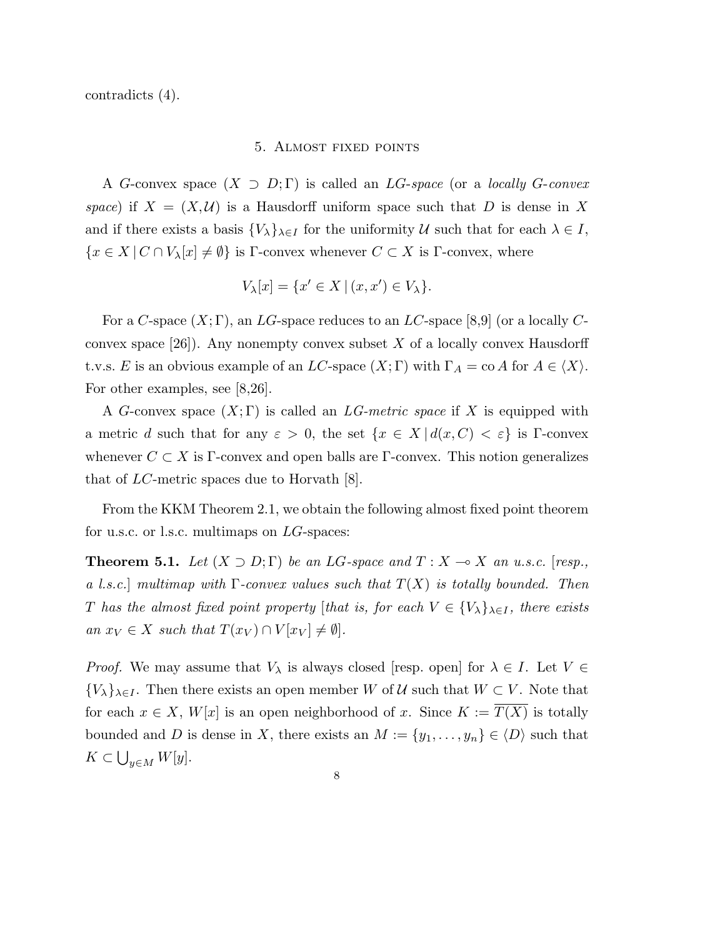contradicts (4).

#### 5. Almost fixed points

A G-convex space  $(X \supset D; \Gamma)$  is called an LG-space (or a locally G-convex space) if  $X = (X, \mathcal{U})$  is a Hausdorff uniform space such that D is dense in X and if there exists a basis  $\{V_{\lambda}\}_{\lambda \in I}$  for the uniformity U such that for each  $\lambda \in I$ ,  $\{x \in X \mid C \cap V_\lambda[x] \neq \emptyset\}$  is Γ-convex whenever  $C \subset X$  is Γ-convex, where

$$
V_{\lambda}[x] = \{x' \in X \mid (x, x') \in V_{\lambda}\}.
$$

For a C-space  $(X; \Gamma)$ , an LG-space reduces to an LC-space [8,9] (or a locally Cconvex space  $[26]$ . Any nonempty convex subset X of a locally convex Hausdorff t.v.s. E is an obvious example of an LC-space  $(X; \Gamma)$  with  $\Gamma_A = \text{co } A$  for  $A \in \langle X \rangle$ . For other examples, see [8,26].

A G-convex space  $(X; \Gamma)$  is called an LG-metric space if X is equipped with a metric d such that for any  $\varepsilon > 0$ , the set  $\{x \in X \mid d(x, C) < \varepsilon\}$  is Γ-convex whenever  $C \subset X$  is Γ-convex and open balls are Γ-convex. This notion generalizes that of LC-metric spaces due to Horvath [8].

From the KKM Theorem 2.1, we obtain the following almost fixed point theorem for u.s.c. or l.s.c. multimaps on LG-spaces:

**Theorem 5.1.** Let  $(X \supset D; \Gamma)$  be an LG-space and  $T : X \to X$  an u.s.c. [resp., a l.s.c.] multimap with  $\Gamma$ -convex values such that  $T(X)$  is totally bounded. Then T has the almost fixed point property [that is, for each  $V \in \{V_{\lambda}\}_{{\lambda}\in I}$ , there exists an  $x_V \in X$  such that  $T(x_V) \cap V[x_V] \neq \emptyset$ .

*Proof.* We may assume that  $V_{\lambda}$  is always closed [resp. open] for  $\lambda \in I$ . Let  $V \in$  ${V_{\lambda}}_{\lambda \in I}$ . Then there exists an open member W of U such that  $W \subset V$ . Note that for each  $x \in X$ ,  $W[x]$  is an open neighborhood of x. Since  $K := \overline{T(X)}$  is totally bounded and D is dense in X, there exists an  $M := \{y_1, \ldots, y_n\} \in \langle D \rangle$  such that  $K \subset$ S  $y\in M W[y].$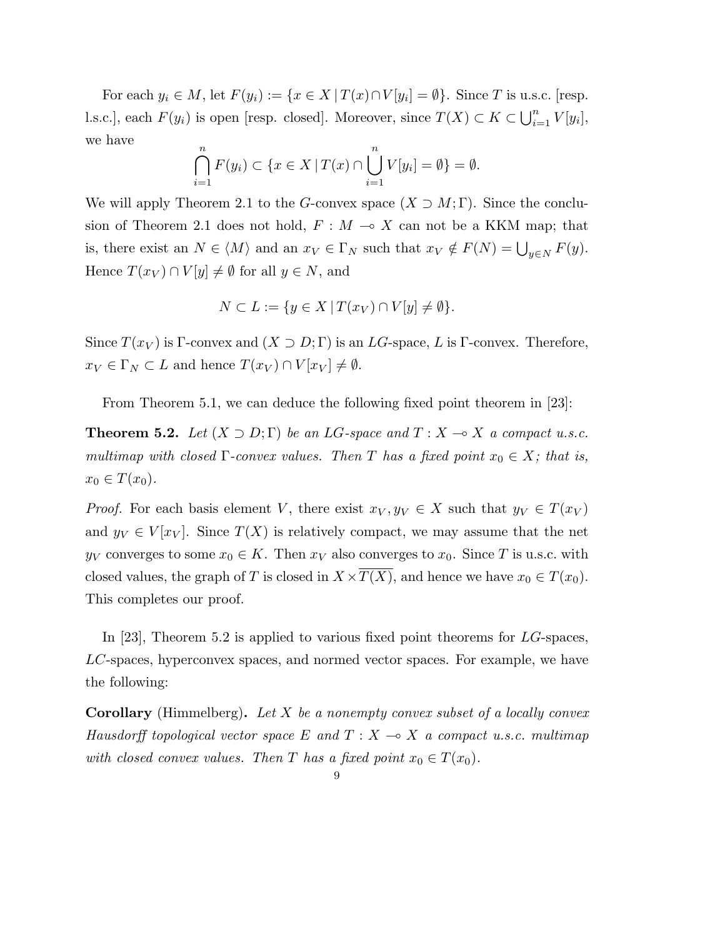For each  $y_i \in M$ , let  $F(y_i) := \{x \in X \mid T(x) \cap V[y_i] = \emptyset\}$ . Since T is u.s.c. [resp. l.s.c.], each  $F(y_i)$  is open [resp. closed]. Moreover, since  $T(X) \subset K \subset \bigcup_{i=1}^n$  $\sum_{i=1}^{n} V[y_i],$ we have

$$
\bigcap_{i=1}^{n} F(y_i) \subset \{x \in X \mid T(x) \cap \bigcup_{i=1}^{n} V[y_i] = \emptyset\} = \emptyset.
$$

We will apply Theorem 2.1 to the G-convex space  $(X \supset M; \Gamma)$ . Since the conclusion of Theorem 2.1 does not hold,  $F : M \to X$  can not be a KKM map; that is, there exist an  $N \in \langle M \rangle$  and an  $x_V \in \Gamma_N$  such that  $x_V \notin F(N) = \bigcup_{y \in N} F(y)$ . Hence  $T(x_V) \cap V[y] \neq \emptyset$  for all  $y \in N$ , and

$$
N \subset L := \{ y \in X \mid T(x_V) \cap V[y] \neq \emptyset \}.
$$

Since  $T(x_V)$  is Γ-convex and  $(X \supset D; \Gamma)$  is an LG-space, L is Γ-convex. Therefore,  $x_V \in \Gamma_N \subset L$  and hence  $T(x_V) \cap V[x_V] \neq \emptyset$ .

From Theorem 5.1, we can deduce the following fixed point theorem in [23]:

**Theorem 5.2.** Let  $(X \supset D; \Gamma)$  be an LG-space and  $T : X \to X$  a compact u.s.c. multimap with closed  $\Gamma$ -convex values. Then T has a fixed point  $x_0 \in X$ ; that is,  $x_0 \in T(x_0)$ .

*Proof.* For each basis element V, there exist  $x_V, y_V \in X$  such that  $y_V \in T(x_V)$ and  $y_V \in V[x_V]$ . Since  $T(X)$  is relatively compact, we may assume that the net  $y_V$  converges to some  $x_0 \in K$ . Then  $x_V$  also converges to  $x_0$ . Since T is u.s.c. with closed values, the graph of T is closed in  $X \times \overline{T(X)}$ , and hence we have  $x_0 \in T(x_0)$ . This completes our proof.

In [23], Theorem 5.2 is applied to various fixed point theorems for LG-spaces, LC-spaces, hyperconvex spaces, and normed vector spaces. For example, we have the following:

**Corollary** (Himmelberg). Let X be a nonempty convex subset of a locally convex Hausdorff topological vector space E and  $T : X \rightarrow X$  a compact u.s.c. multimap with closed convex values. Then T has a fixed point  $x_0 \in T(x_0)$ .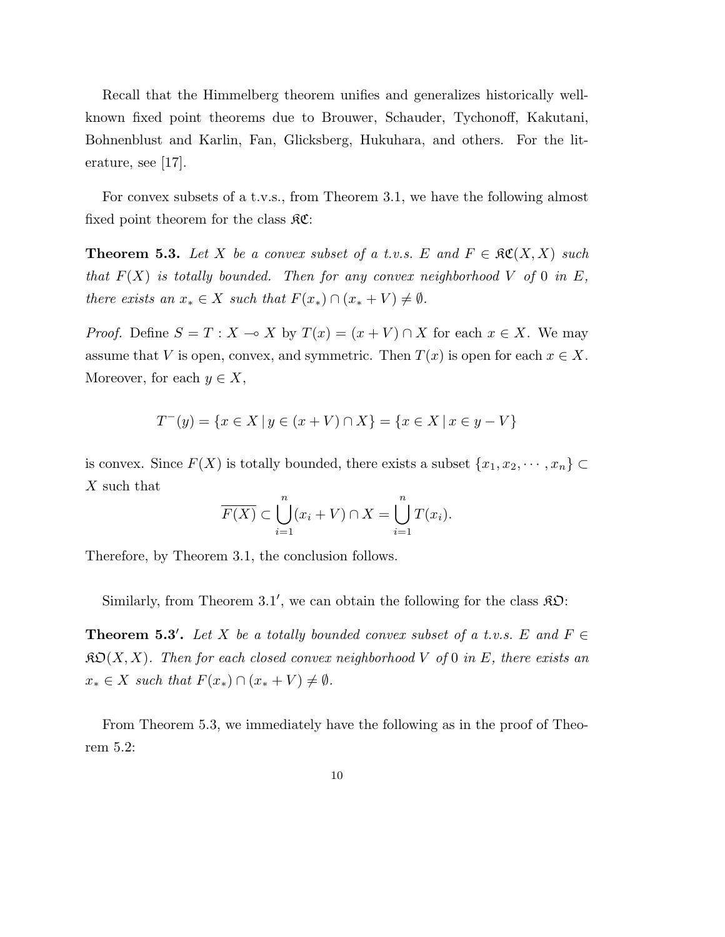Recall that the Himmelberg theorem unifies and generalizes historically wellknown fixed point theorems due to Brouwer, Schauder, Tychonoff, Kakutani, Bohnenblust and Karlin, Fan, Glicksberg, Hukuhara, and others. For the literature, see [17].

For convex subsets of a t.v.s., from Theorem 3.1, we have the following almost fixed point theorem for the class  $\Re$ **C**:

**Theorem 5.3.** Let X be a convex subset of a t.v.s. E and  $F \in \mathcal{RC}(X,X)$  such that  $F(X)$  is totally bounded. Then for any convex neighborhood V of 0 in E, there exists an  $x_* \in X$  such that  $F(x_*) \cap (x_* + V) \neq \emptyset$ .

*Proof.* Define  $S = T : X \to X$  by  $T(x) = (x + V) \cap X$  for each  $x \in X$ . We may assume that V is open, convex, and symmetric. Then  $T(x)$  is open for each  $x \in X$ . Moreover, for each  $y \in X$ ,

$$
T^-(y) = \{ x \in X \mid y \in (x + V) \cap X \} = \{ x \in X \mid x \in y - V \}
$$

is convex. Since  $F(X)$  is totally bounded, there exists a subset  $\{x_1, x_2, \dots, x_n\} \subset$ X such that

$$
\overline{F(X)} \subset \bigcup_{i=1}^{n} (x_i + V) \cap X = \bigcup_{i=1}^{n} T(x_i).
$$

Therefore, by Theorem 3.1, the conclusion follows.

Similarly, from Theorem 3.1', we can obtain the following for the class  $\mathcal{R}\mathcal{D}$ :

**Theorem 5.3'.** Let X be a totally bounded convex subset of a t.v.s. E and  $F \in$  $\mathfrak{K} \mathfrak{O}(X,X)$ . Then for each closed convex neighborhood V of 0 in E, there exists an  $x_* \in X$  such that  $F(x_*) \cap (x_* + V) \neq \emptyset$ .

From Theorem 5.3, we immediately have the following as in the proof of Theorem 5.2: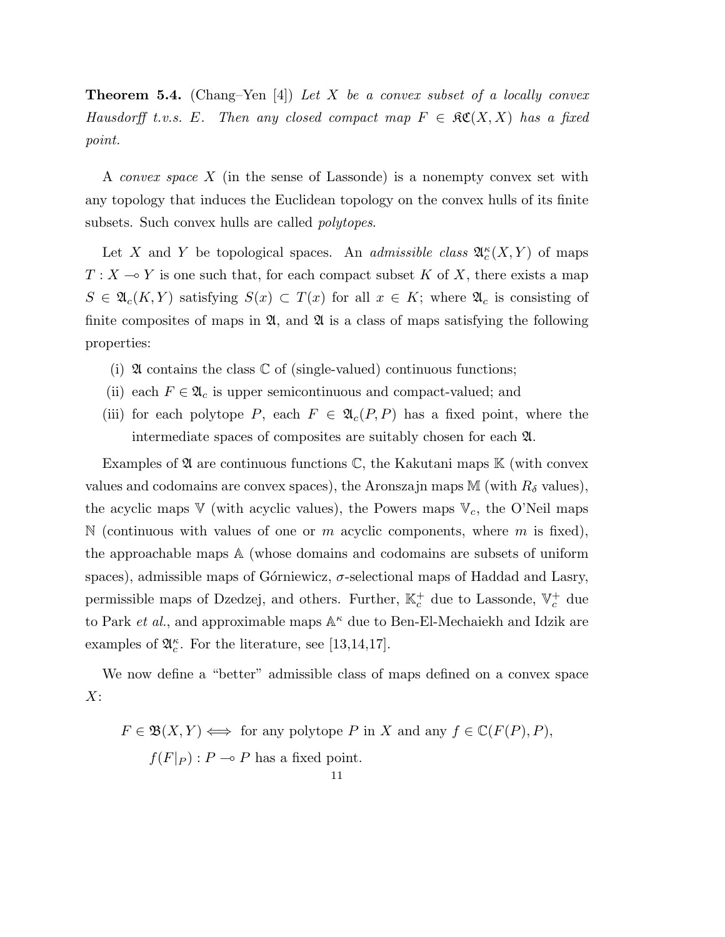**Theorem 5.4.** (Chang–Yen [4]) Let X be a convex subset of a locally convex Hausdorff t.v.s. E. Then any closed compact map  $F \in \mathcal{RC}(X,X)$  has a fixed point.

A convex space X (in the sense of Lassonde) is a nonempty convex set with any topology that induces the Euclidean topology on the convex hulls of its finite subsets. Such convex hulls are called polytopes.

Let X and Y be topological spaces. An *admissible class*  $\mathfrak{A}_{c}^{\kappa}(X, Y)$  of maps  $T : X \longrightarrow Y$  is one such that, for each compact subset K of X, there exists a map  $S \in \mathfrak{A}_c(K,Y)$  satisfying  $S(x) \subset T(x)$  for all  $x \in K$ ; where  $\mathfrak{A}_c$  is consisting of finite composites of maps in  $\mathfrak{A}$ , and  $\mathfrak{A}$  is a class of maps satisfying the following properties:

- (i)  $\mathfrak A$  contains the class  $\mathbb C$  of (single-valued) continuous functions;
- (ii) each  $F \in \mathfrak{A}_c$  is upper semicontinuous and compact-valued; and
- (iii) for each polytope P, each  $F \in \mathfrak{A}_c(P, P)$  has a fixed point, where the intermediate spaces of composites are suitably chosen for each A.

Examples of  $\mathfrak A$  are continuous functions  $\mathbb C$ , the Kakutani maps  $\mathbb K$  (with convex values and codomains are convex spaces), the Aronszajn maps M (with  $R_{\delta}$  values), the acyclic maps  $V$  (with acyclic values), the Powers maps  $V_c$ , the O'Neil maps N (continuous with values of one or m acyclic components, where m is fixed), the approachable maps A (whose domains and codomains are subsets of uniform spaces), admissible maps of Górniewicz,  $\sigma$ -selectional maps of Haddad and Lasry, permissible maps of Dzedzej, and others. Further,  $\mathbb{K}_c^+$  due to Lassonde,  $\mathbb{V}_c^+$  due to Park *et al.*, and approximable maps  $A^{\kappa}$  due to Ben-El-Mechaiekh and Idzik are examples of  $\mathfrak{A}_{c}^{\kappa}$ . For the literature, see [13,14,17].

We now define a "better" admissible class of maps defined on a convex space  $X$ :

$$
F \in \mathfrak{B}(X, Y) \iff \text{for any polytope } P \text{ in } X \text{ and any } f \in \mathbb{C}(F(P), P),
$$
  

$$
f(F|_{P}) : P \multimap P \text{ has a fixed point.}
$$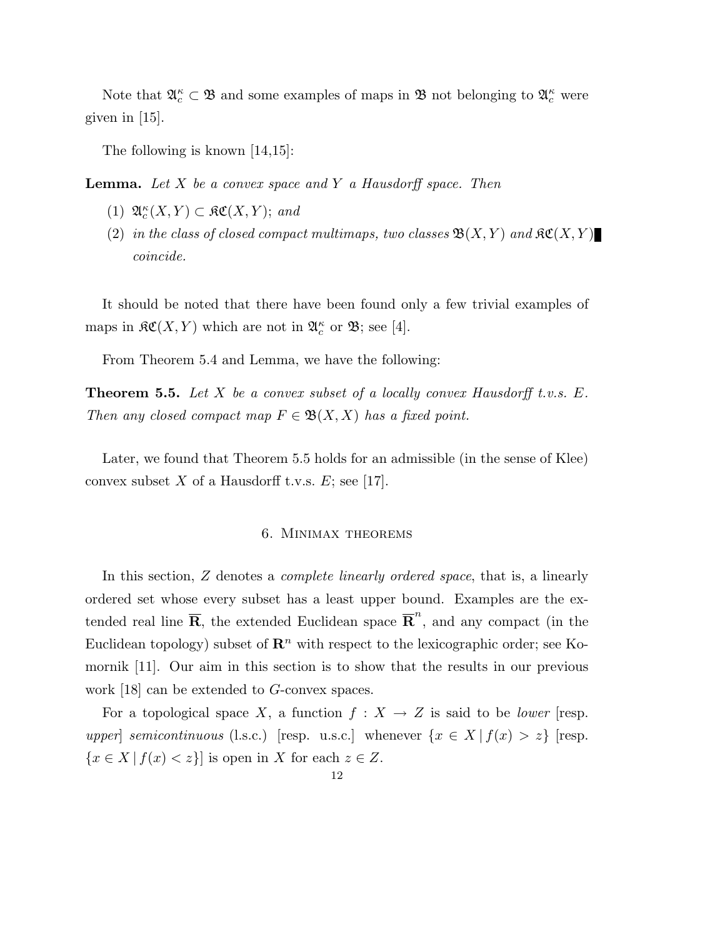Note that  $\mathfrak{A}_{c}^{\kappa} \subset \mathfrak{B}$  and some examples of maps in  $\mathfrak{B}$  not belonging to  $\mathfrak{A}_{c}^{\kappa}$  were given in [15].

The following is known [14,15]:

**Lemma.** Let  $X$  be a convex space and  $Y$  a Hausdorff space. Then

- (1)  $\mathfrak{A}_{c}^{\kappa}(X,Y) \subset \mathfrak{K}\mathfrak{C}(X,Y)$ ; and
- (2) in the class of closed compact multimaps, two classes  $\mathfrak{B}(X,Y)$  and  $\mathfrak{K}(X,Y)$ coincide.

It should be noted that there have been found only a few trivial examples of maps in  $\mathfrak{RC}(X,Y)$  which are not in  $\mathfrak{A}_{c}^{\kappa}$  or  $\mathfrak{B}$ ; see [4].

From Theorem 5.4 and Lemma, we have the following:

**Theorem 5.5.** Let X be a convex subset of a locally convex Hausdorff t.v.s.  $E$ . Then any closed compact map  $F \in \mathfrak{B}(X,X)$  has a fixed point.

Later, we found that Theorem 5.5 holds for an admissible (in the sense of Klee) convex subset X of a Hausdorff t.v.s.  $E$ ; see [17].

#### 6. Minimax theorems

In this section, Z denotes a complete linearly ordered space, that is, a linearly ordered set whose every subset has a least upper bound. Examples are the extended real line  $\overline{R}$ , the extended Euclidean space  $\overline{R}^n$ , and any compact (in the Euclidean topology) subset of  $\mathbb{R}^n$  with respect to the lexicographic order; see Komornik [11]. Our aim in this section is to show that the results in our previous work [18] can be extended to G-convex spaces.

For a topological space X, a function  $f: X \to Z$  is said to be *lower* [resp. upper] semicontinuous (l.s.c.) [resp. u.s.c.] whenever  $\{x \in X | f(x) > z\}$  [resp.  ${x \in X | f(x) < z}$  is open in X for each  $z \in Z$ .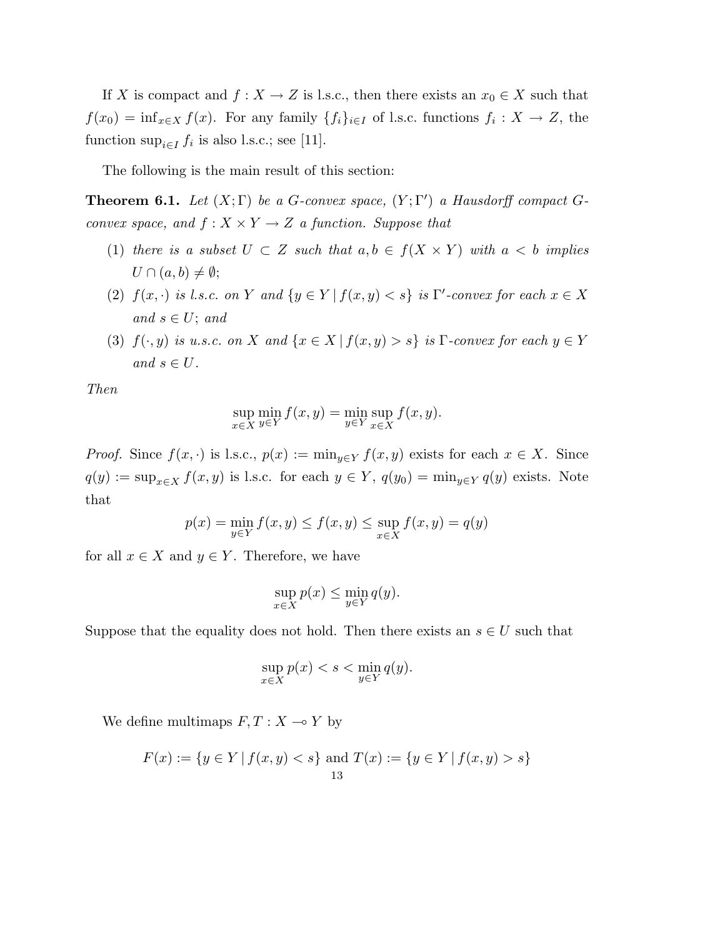If X is compact and  $f: X \to Z$  is l.s.c., then there exists an  $x_0 \in X$  such that  $f(x_0) = \inf_{x \in X} f(x)$ . For any family  $\{f_i\}_{i \in I}$  of l.s.c. functions  $f_i: X \to Z$ , the function  $\sup_{i \in I} f_i$  is also l.s.c.; see [11].

The following is the main result of this section:

**Theorem 6.1.** Let  $(X; \Gamma)$  be a G-convex space,  $(Y; \Gamma')$  a Hausdorff compact Gconvex space, and  $f: X \times Y \rightarrow Z$  a function. Suppose that

- (1) there is a subset  $U \subset Z$  such that  $a, b \in f(X \times Y)$  with  $a < b$  implies  $U \cap (a, b) \neq \emptyset;$
- (2)  $f(x, \cdot)$  is l.s.c. on Y and  $\{y \in Y \mid f(x, y) < s\}$  is  $\Gamma'$ -convex for each  $x \in X$ and  $s \in U$ ; and
- (3)  $f(\cdot, y)$  is u.s.c. on X and  $\{x \in X \mid f(x, y) > s\}$  is  $\Gamma$ -convex for each  $y \in Y$ and  $s \in U$ .

Then

$$
\sup_{x \in X} \min_{y \in Y} f(x, y) = \min_{y \in Y} \sup_{x \in X} f(x, y).
$$

*Proof.* Since  $f(x, \cdot)$  is l.s.c.,  $p(x) := \min_{y \in Y} f(x, y)$  exists for each  $x \in X$ . Since  $q(y) := \sup_{x \in X} f(x, y)$  is l.s.c. for each  $y \in Y$ ,  $q(y_0) = \min_{y \in Y} q(y)$  exists. Note that

$$
p(x) = \min_{y \in Y} f(x, y) \le f(x, y) \le \sup_{x \in X} f(x, y) = q(y)
$$

for all  $x \in X$  and  $y \in Y$ . Therefore, we have

$$
\sup_{x \in X} p(x) \le \min_{y \in Y} q(y).
$$

Suppose that the equality does not hold. Then there exists an  $s \in U$  such that

$$
\sup_{x \in X} p(x) < s < \min_{y \in Y} q(y).
$$

We define multimaps  $F, T : X \longrightarrow Y$  by

$$
F(x) := \{ y \in Y \mid f(x, y) < s \} \text{ and } T(x) := \{ y \in Y \mid f(x, y) > s \}
$$
\n
$$
\xrightarrow{13}
$$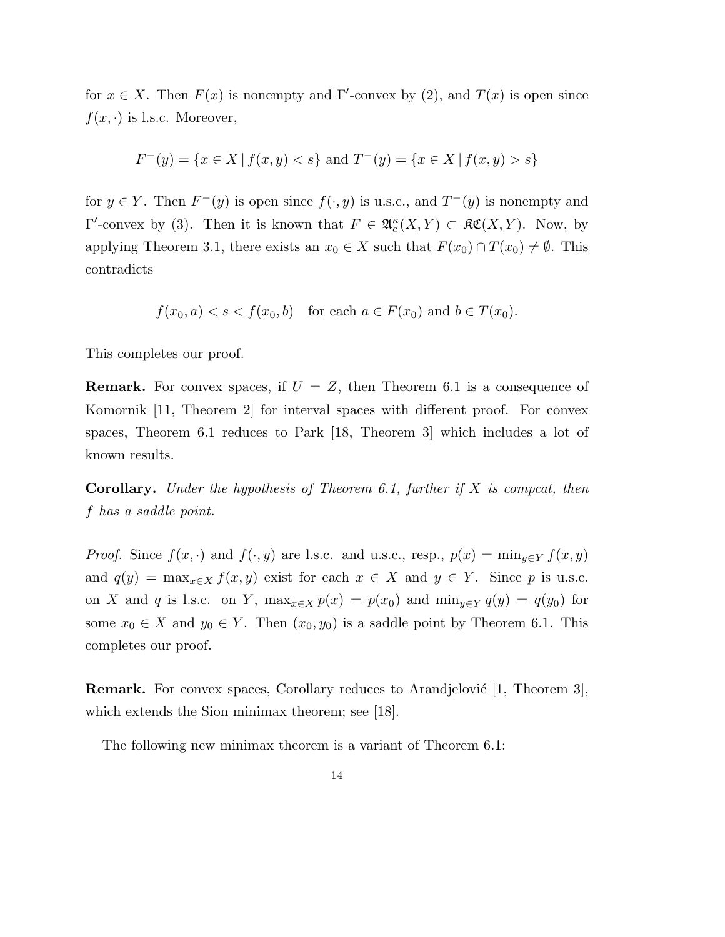for  $x \in X$ . Then  $F(x)$  is nonempty and  $\Gamma'$ -convex by (2), and  $T(x)$  is open since  $f(x, \cdot)$  is l.s.c. Moreover,

$$
F^-(y) = \{ x \in X \mid f(x, y) < s \} \text{ and } T^-(y) = \{ x \in X \mid f(x, y) > s \}
$$

for  $y \in Y$ . Then  $F^-(y)$  is open since  $f(\cdot, y)$  is u.s.c., and  $T^-(y)$  is nonempty and Γ'-convex by (3). Then it is known that  $F \in \mathfrak{A}_c^{\kappa}(X,Y) \subset \mathfrak{K}\mathfrak{C}(X,Y)$ . Now, by applying Theorem 3.1, there exists an  $x_0 \in X$  such that  $F(x_0) \cap T(x_0) \neq \emptyset$ . This contradicts

$$
f(x_0, a) < s < f(x_0, b) \quad \text{for each } a \in F(x_0) \text{ and } b \in T(x_0).
$$

This completes our proof.

**Remark.** For convex spaces, if  $U = Z$ , then Theorem 6.1 is a consequence of Komornik [11, Theorem 2] for interval spaces with different proof. For convex spaces, Theorem 6.1 reduces to Park [18, Theorem 3] which includes a lot of known results.

**Corollary.** Under the hypothesis of Theorem 6.1, further if  $X$  is compcat, then f has a saddle point.

*Proof.* Since  $f(x, \cdot)$  and  $f(\cdot, y)$  are l.s.c. and u.s.c., resp.,  $p(x) = \min_{y \in Y} f(x, y)$ and  $q(y) = \max_{x \in X} f(x, y)$  exist for each  $x \in X$  and  $y \in Y$ . Since p is u.s.c. on X and q is l.s.c. on Y,  $\max_{x \in X} p(x) = p(x_0)$  and  $\min_{y \in Y} q(y) = q(y_0)$  for some  $x_0 \in X$  and  $y_0 \in Y$ . Then  $(x_0, y_0)$  is a saddle point by Theorem 6.1. This completes our proof.

**Remark.** For convex spaces, Corollary reduces to Arandjelović  $[1,$  Theorem 3], which extends the Sion minimax theorem; see [18].

The following new minimax theorem is a variant of Theorem 6.1: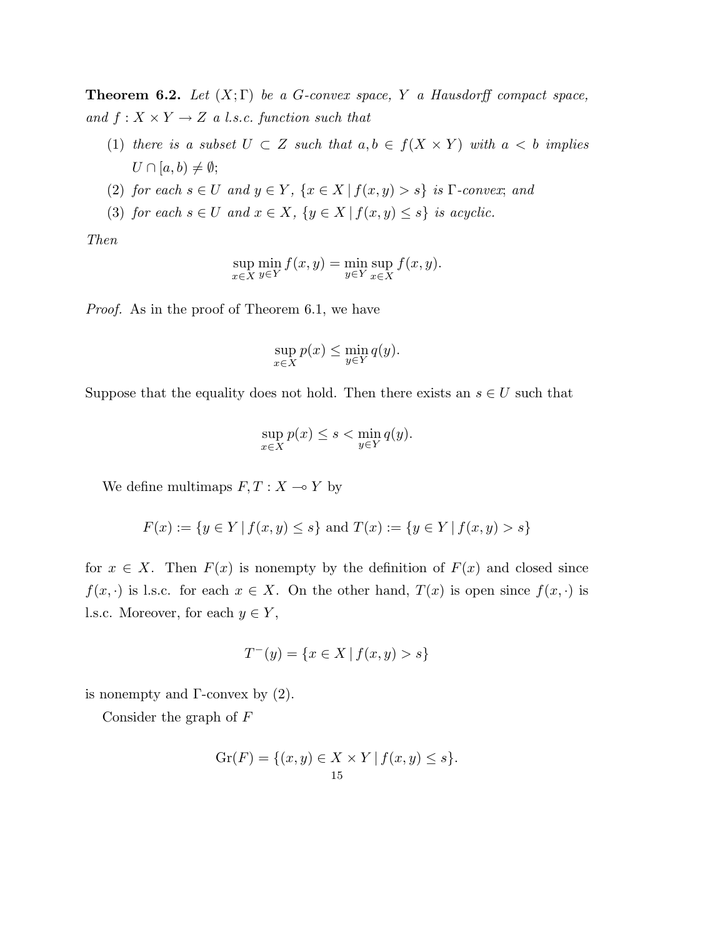**Theorem 6.2.** Let  $(X;\Gamma)$  be a G-convex space, Y a Hausdorff compact space, and  $f: X \times Y \rightarrow Z$  a l.s.c. function such that

- (1) there is a subset  $U \subset Z$  such that  $a, b \in f(X \times Y)$  with  $a < b$  implies  $U \cap [a, b) \neq \emptyset;$
- (2) for each  $s \in U$  and  $y \in Y$ ,  $\{x \in X \mid f(x, y) > s\}$  is  $\Gamma$ -convex; and
- (3) for each  $s \in U$  and  $x \in X$ ,  $\{y \in X \mid f(x, y) \leq s\}$  is acyclic.

Then

$$
\sup_{x \in X} \min_{y \in Y} f(x, y) = \min_{y \in Y} \sup_{x \in X} f(x, y).
$$

Proof. As in the proof of Theorem 6.1, we have

$$
\sup_{x \in X} p(x) \le \min_{y \in Y} q(y).
$$

Suppose that the equality does not hold. Then there exists an  $s \in U$  such that

$$
\sup_{x \in X} p(x) \le s < \min_{y \in Y} q(y).
$$

We define multimaps  $F, T : X \longrightarrow Y$  by

$$
F(x) := \{ y \in Y \mid f(x, y) \le s \} \text{ and } T(x) := \{ y \in Y \mid f(x, y) > s \}
$$

for  $x \in X$ . Then  $F(x)$  is nonempty by the definition of  $F(x)$  and closed since  $f(x, \cdot)$  is l.s.c. for each  $x \in X$ . On the other hand,  $T(x)$  is open since  $f(x, \cdot)$  is l.s.c. Moreover, for each  $y \in Y$ ,

$$
T^-(y) = \{ x \in X \mid f(x, y) > s \}
$$

is nonempty and  $\Gamma$ -convex by  $(2)$ .

Consider the graph of F

$$
Gr(F) = \{ (x, y) \in X \times Y \mid f(x, y) \le s \}.
$$
  
15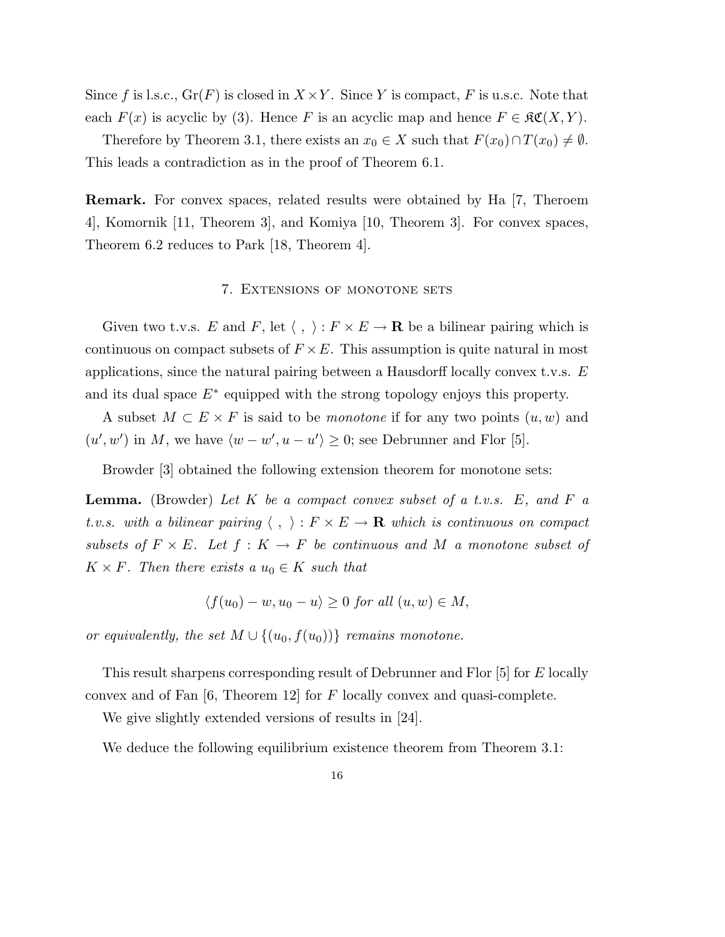Since f is l.s.c.,  $Gr(F)$  is closed in  $X \times Y$ . Since Y is compact, F is u.s.c. Note that each  $F(x)$  is acyclic by (3). Hence F is an acyclic map and hence  $F \in \mathfrak{RC}(X,Y)$ .

Therefore by Theorem 3.1, there exists an  $x_0 \in X$  such that  $F(x_0) \cap T(x_0) \neq \emptyset$ . This leads a contradiction as in the proof of Theorem 6.1.

Remark. For convex spaces, related results were obtained by Ha [7, Theroem 4], Komornik [11, Theorem 3], and Komiya [10, Theorem 3]. For convex spaces, Theorem 6.2 reduces to Park [18, Theorem 4].

#### 7. Extensions of monotone sets

Given two t.v.s. E and F, let  $\langle , \rangle : F \times E \to \mathbf{R}$  be a bilinear pairing which is continuous on compact subsets of  $F \times E$ . This assumption is quite natural in most applications, since the natural pairing between a Hausdorff locally convex t.v.s.  $E$ and its dual space  $E^*$  equipped with the strong topology enjoys this property.

A subset  $M \subset E \times F$  is said to be *monotone* if for any two points  $(u, w)$  and  $(u', w')$  in M, we have  $\langle w - w', u - u' \rangle \geq 0$ ; see Debrunner and Flor [5].

Browder [3] obtained the following extension theorem for monotone sets:

**Lemma.** (Browder) Let K be a compact convex subset of a t.v.s.  $E$ , and  $F$  a t.v.s. with a bilinear pairing  $\langle , \rangle : F \times E \to \mathbf{R}$  which is continuous on compact subsets of  $F \times E$ . Let  $f : K \to F$  be continuous and M a monotone subset of  $K \times F$ . Then there exists a  $u_0 \in K$  such that

$$
\langle f(u_0) - w, u_0 - u \rangle \ge 0 \text{ for all } (u, w) \in M,
$$

or equivalently, the set  $M \cup \{(u_0, f(u_0))\}$  remains monotone.

This result sharpens corresponding result of Debrunner and Flor [5] for E locally convex and of Fan  $[6,$  Theorem 12 for F locally convex and quasi-complete.

We give slightly extended versions of results in [24].

We deduce the following equilibrium existence theorem from Theorem 3.1: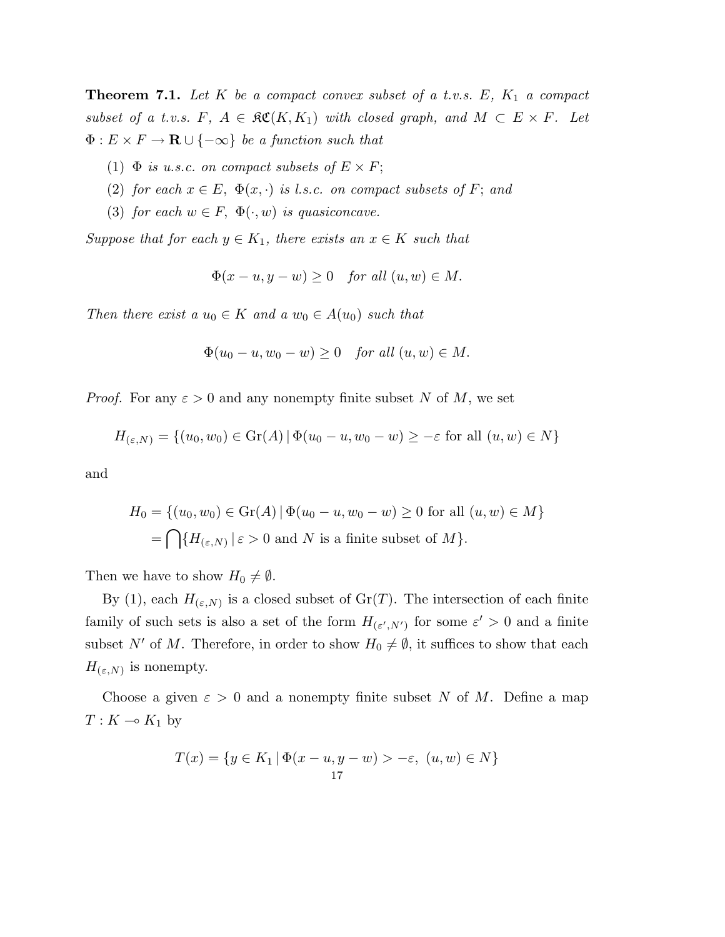**Theorem 7.1.** Let K be a compact convex subset of a t.v.s.  $E$ ,  $K_1$  a compact subset of a t.v.s. F,  $A \in \mathfrak{RC}(K, K_1)$  with closed graph, and  $M \subset E \times F$ . Let  $\Phi: E \times F \to \mathbf{R} \cup \{-\infty\}$  be a function such that

- (1)  $\Phi$  is u.s.c. on compact subsets of  $E \times F$ ;
- (2) for each  $x \in E$ ,  $\Phi(x, \cdot)$  is l.s.c. on compact subsets of F; and
- (3) for each  $w \in F$ ,  $\Phi(\cdot, w)$  is quasiconcave.

Suppose that for each  $y \in K_1$ , there exists an  $x \in K$  such that

$$
\Phi(x - u, y - w) \ge 0 \quad \text{for all } (u, w) \in M.
$$

Then there exist a  $u_0 \in K$  and a  $w_0 \in A(u_0)$  such that

$$
\Phi(u_0 - u, w_0 - w) \ge 0 \quad \text{for all } (u, w) \in M.
$$

*Proof.* For any  $\varepsilon > 0$  and any nonempty finite subset N of M, we set

$$
H_{(\varepsilon,N)} = \{(u_0, w_0) \in \text{Gr}(A) \mid \Phi(u_0 - u, w_0 - w) \ge -\varepsilon \text{ for all } (u, w) \in N\}
$$

and

$$
H_0 = \{(u_0, w_0) \in \text{Gr}(A) \mid \Phi(u_0 - u, w_0 - w) \ge 0 \text{ for all } (u, w) \in M\}
$$
  
= 
$$
\bigcap \{H_{(\varepsilon, N)} \mid \varepsilon > 0 \text{ and } N \text{ is a finite subset of } M\}.
$$

Then we have to show  $H_0 \neq \emptyset$ .

By (1), each  $H_{(\varepsilon,N)}$  is a closed subset of  $Gr(T)$ . The intersection of each finite family of such sets is also a set of the form  $H_{(\varepsilon',N')}$  for some  $\varepsilon' > 0$  and a finite subset N' of M. Therefore, in order to show  $H_0 \neq \emptyset$ , it suffices to show that each  $H_{(\varepsilon,N)}$  is nonempty.

Choose a given  $\varepsilon > 0$  and a nonempty finite subset N of M. Define a map  $T: K \multimap K_1$  by

$$
T(x) = \{ y \in K_1 \mid \Phi(x - u, y - w) > -\varepsilon, \ (u, w) \in N \}
$$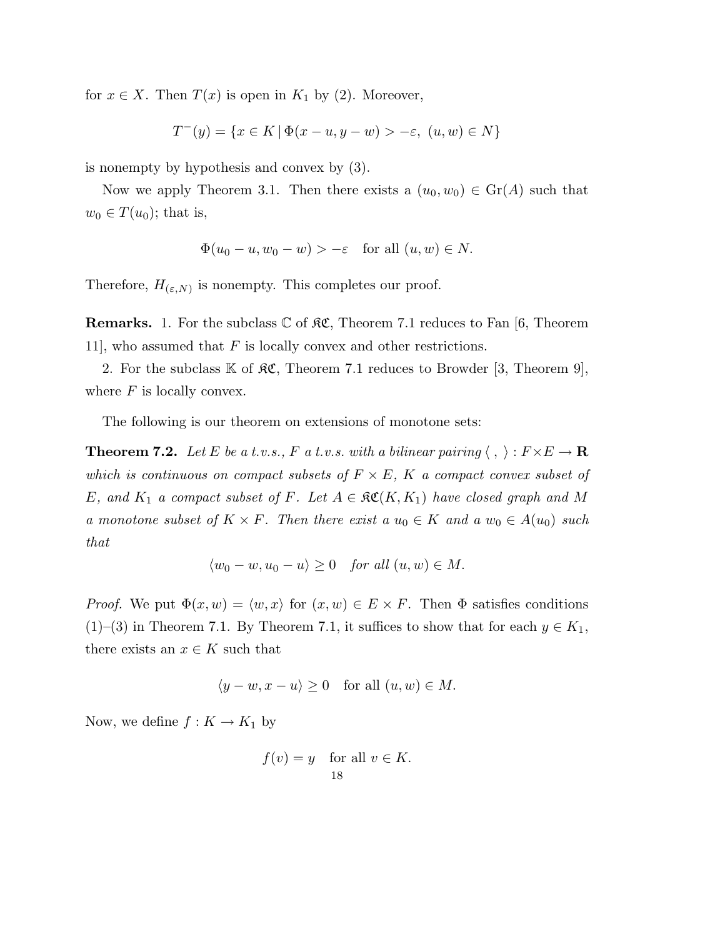for  $x \in X$ . Then  $T(x)$  is open in  $K_1$  by (2). Moreover,

$$
T^-(y) = \{ x \in K \, | \, \Phi(x - u, y - w) > -\varepsilon, \ (u, w) \in N \}
$$

is nonempty by hypothesis and convex by (3).

Now we apply Theorem 3.1. Then there exists a  $(u_0, w_0) \in \text{Gr}(A)$  such that  $w_0 \in T(u_0)$ ; that is,

$$
\Phi(u_0 - u, w_0 - w) > -\varepsilon \quad \text{for all } (u, w) \in N.
$$

Therefore,  $H_{(\varepsilon,N)}$  is nonempty. This completes our proof.

**Remarks.** 1. For the subclass  $\mathbb{C}$  of  $\mathfrak{K}\mathfrak{C}$ , Theorem 7.1 reduces to Fan [6, Theorem 11, who assumed that  $F$  is locally convex and other restrictions.

2. For the subclass  $K$  of  $R\mathfrak{C}$ , Theorem 7.1 reduces to Browder [3, Theorem 9], where  $F$  is locally convex.

The following is our theorem on extensions of monotone sets:

**Theorem 7.2.** Let E be a t.v.s., F a t.v.s. with a bilinear pairing  $\langle , \rangle : F \times E \to \mathbf{R}$ which is continuous on compact subsets of  $F \times E$ , K a compact convex subset of E, and  $K_1$  a compact subset of F. Let  $A \in \mathfrak{RC}(K, K_1)$  have closed graph and M a monotone subset of  $K \times F$ . Then there exist a  $u_0 \in K$  and a  $w_0 \in A(u_0)$  such that

$$
\langle w_0 - w, u_0 - u \rangle \ge 0 \quad for all  $(u, w) \in M$ .
$$

*Proof.* We put  $\Phi(x, w) = \langle w, x \rangle$  for  $(x, w) \in E \times F$ . Then  $\Phi$  satisfies conditions (1)–(3) in Theorem 7.1. By Theorem 7.1, it suffices to show that for each  $y \in K_1$ , there exists an  $x \in K$  such that

$$
\langle y - w, x - u \rangle \ge 0 \quad \text{for all } (u, w) \in M.
$$

Now, we define  $f: K \to K_1$  by

$$
f(v) = y \quad \text{for all } v \in K.
$$
  
18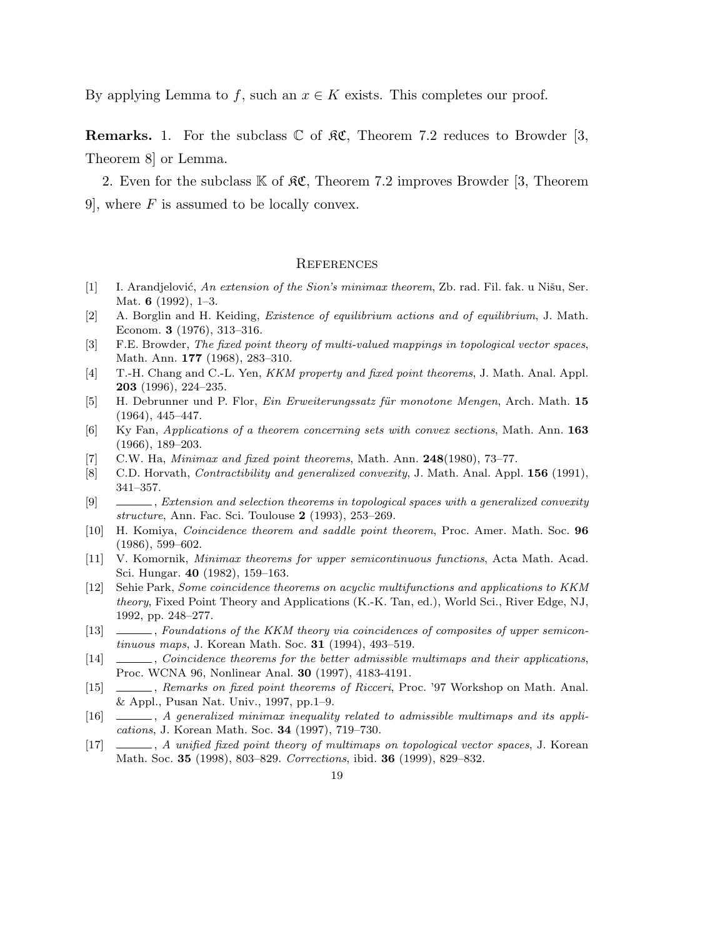By applying Lemma to f, such an  $x \in K$  exists. This completes our proof.

**Remarks.** 1. For the subclass  $\mathbb C$  of  $\mathcal{RC}$ , Theorem 7.2 reduces to Browder [3, Theorem 8] or Lemma.

2. Even for the subclass  $\mathbb K$  of  $\mathfrak{K}\mathfrak{C}$ , Theorem 7.2 improves Browder [3, Theorem 9, where  $F$  is assumed to be locally convex.

#### **REFERENCES**

- $[1]$  I. Arandjelović, An extension of the Sion's minimax theorem, Zb. rad. Fil. fak. u Nišu, Ser. Mat. 6 (1992), 1–3.
- [2] A. Borglin and H. Keiding, Existence of equilibrium actions and of equilibrium, J. Math. Econom. 3 (1976), 313–316.
- [3] F.E. Browder, The fixed point theory of multi-valued mappings in topological vector spaces, Math. Ann. 177 (1968), 283–310.
- [4] T.-H. Chang and C.-L. Yen, KKM property and fixed point theorems, J. Math. Anal. Appl. 203 (1996), 224–235.
- [5] H. Debrunner und P. Flor, *Ein Erweiterungssatz für monotone Mengen*, Arch. Math. 15 (1964), 445–447.
- [6] Ky Fan, Applications of a theorem concerning sets with convex sections, Math. Ann. 163 (1966), 189–203.
- [7] C.W. Ha, *Minimax and fixed point theorems*, Math. Ann.  $248(1980)$ , 73–77.
- [8] C.D. Horvath, *Contractibility and generalized convexity*, J. Math. Anal. Appl. **156** (1991), 341–357.
- [9] , Extension and selection theorems in topological spaces with a generalized convexity structure, Ann. Fac. Sci. Toulouse 2 (1993), 253–269.
- [10] H. Komiya, Coincidence theorem and saddle point theorem, Proc. Amer. Math. Soc. 96 (1986), 599–602.
- [11] V. Komornik, Minimax theorems for upper semicontinuous functions, Acta Math. Acad. Sci. Hungar. 40 (1982), 159–163.
- [12] Sehie Park, Some coincidence theorems on acyclic multifunctions and applications to KKM theory, Fixed Point Theory and Applications (K.-K. Tan, ed.), World Sci., River Edge, NJ, 1992, pp. 248–277.
- [13] , Foundations of the KKM theory via coincidences of composites of upper semicontinuous maps, J. Korean Math. Soc. 31 (1994), 493–519.
- [14] Coincidence theorems for the better admissible multimaps and their applications, Proc. WCNA 96, Nonlinear Anal. 30 (1997), 4183-4191.
- [15] , Remarks on fixed point theorems of Ricceri, Proc. '97 Workshop on Math. Anal. & Appl., Pusan Nat. Univ., 1997, pp.1–9.
- [16]  $\qquad \qquad$ , A generalized minimax inequality related to admissible multimaps and its applications, J. Korean Math. Soc. 34 (1997), 719–730.
- [17] , A unified fixed point theory of multimaps on topological vector spaces, J. Korean Math. Soc. 35 (1998), 803–829. Corrections, ibid. 36 (1999), 829–832.